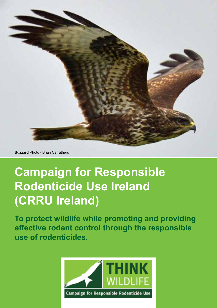

**Buzzard** Photo - Brian Carruthers

## **Campaign for Responsible Rodenticide Use Ireland (CRRU Ireland)**

**To protect wildlife while promoting and providing effective rodent control through the responsible use of rodenticides.**

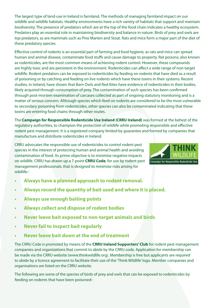The largest type of land-use in Ireland is farmland. The methods of managing farmland impact on our wildlife and wildlife habitats. Healthy environments have a rich variety of habitats that support and maintain biodiversity. The presence of predators which are at the top of the food chain indicates a healthy ecosystem. Predators play an essential role in maintaining biodiversity and balance in nature. Birds of prey and owls are top predators, as are mammals such as Pine Marten and Stoat. Rats and mice form a major part of the diet of these predatory species.

Effective control of rodents is an essential part of farming and food hygiene, as rats and mice can spread human and animal disease, contaminate food stuffs and cause damage to property. Rat poisons, also known as rodenticides, are the most common means of achieving rodent control. However, these compounds are highly toxic and are persistent in the environment. Rodenticides can affect a wide range of non-target wildlife. Rodent predators can be exposed to rodenticides by feeding on rodents that have died as a result of poisoning or by catching and feeding on live rodents which have these toxins in their systems. Recent studies, in Ireland, have shown that Barn Owls and Red Kites have evidence of rodenticides in their bodies, likely acquired through consumption of prey. The contamination of such species has been confirmed through post-mortem examination of carcases collected as part of ongoing statutory monitoring and is a matter of serious concern. Although species which feed on rodents are considered to be the most vulnerable to secondary poisoning from rodenticides, other species can also be contaminated indicating that these toxins are entering food chains through other routes.

The **Campaign for Responsible Rodenticide Use Ireland (CRRU Ireland)** was formed at the behest of the regulatory authorities, to champion the protection of wildlife while promoting responsible and effective rodent pest management. It is a registered company limited by guarantee and formed by companies that manufacture and distribute rodenticides in Ireland.

CRRU advocates the responsible use of rodenticides to control rodent pest species in the interest of protecting human and animal health and avoiding contamination of food. Its prime objective is to minimise negative impacts on wildlife. CRRU has drawn up a 7-point **CRRU Code**, for use by rodent pest management professionals, that is designed to minimise risks arising for wildlife:-



- **• Always have a planned approach to rodent removal.**
- **• Always record the quantity of bait used and where it is placed.**
- **• Always use enough baiting points**
- **• Always collect and dispose of rodent bodies**
- **• Never leave bait exposed to non-target animals and birds**
- **• Never fail to inspect bait regularly**
- **• Never leave bait down at the end of treatment**

The CRRU Code is promoted by means of the **CRRU Ireland Supporters' Club** for rodent pest management companies and organizations that commit to abide by the CRRU code. Application for membership can be made via the CRRU website (www.thinkwildlife.org). Membership is free but applicants are required to abide by a licence agreement to facilitate their use of the 'Think Wildlife' logo. Member companies and organisations are listed on the CRRU website.

The following are some of the species of birds of prey and owls that can be exposed to rodenticides by feeding on rodents that have been poisoned:-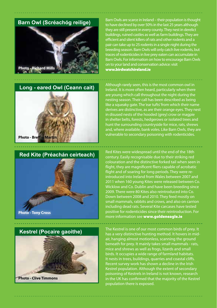

## **Long - eared Owl (Ceann cait)**





 **Kestrel (Pocaire gaoithe)**

**Photo - Clive Timmons**

Barn Owls are scarce in Ireland – their population is thought to have declined by over 50% in the last 25 years although they are still present in every county. They nest in derelict buildings, ruined castles as well as farm buildings. They are efficient and silent killers of rats and other rodents and a pair can take up to 25 rodents in a single night during the breeding season. Barn Owls will only catch live rodents, but traces of rodenticides in live prey eaten can accumulate in Barn Owls. For information on how to encourage Barn Owls on to your land and conservation advice: visit www.birdwatchireland.ie

Although rarely seen, this is the most common owl in Ireland. It is more often heard, particularly when there are young which call throughout the night during the nesting season. Their call has been described as being like a squeaky gate. The 'ear tufts' from which their name derives are distinctive, as are their orange eyes. They nest in disused nests of the hooded (grey) crow or magpie in shelter belts, forests, hedgerows or isolated trees and hunt the surrounding countryside for mice, rats, shrews and, where available, bank voles. Like Barn Owls, they are vulnerable to secondary poisoning with rodenticides.

Red Kites were widespread until the end of the 18th century. Easily recognisable due to their striking red colouration and the distinctive forked tail when seen in flight, they are magnificent fliers capable of acrobatic flight and of soaring for long periods. They were reintroduced into Ireland from Wales between 2007 and 2011 when 160 young Kites were released between Co. Wicklow and Co. Dublin and have been breeding since 2009. There were 80 Kites also reintroduced into Co. Down between 2008 and 2010. They feed mostly on small mammals, rabbits and crows, and also on carrion including dead rats. Several Kite carcases have tested positive for rodenticides since their reintroduction. For more information see www.goldeneagle.ie

The Kestrel is one of our most common birds of prey. It has a very distinctive hunting method. It hovers in midair, hanging almost motionless, scanning the ground beneath for prey. It mainly takes small mammals - rats, mice and shrews as well as frogs, lizards and small birds. It occupies a wide range of farmland habitats. It nests in trees, buildings, quarries and coastal cliffs. Recent survey work has shown a decline in the Irish Kestrel population. Although the extent of secondary poisoning of Kestrels in Ireland is not known, research in the UK has confirmed that the majority of the Kestrel population there is exposed.